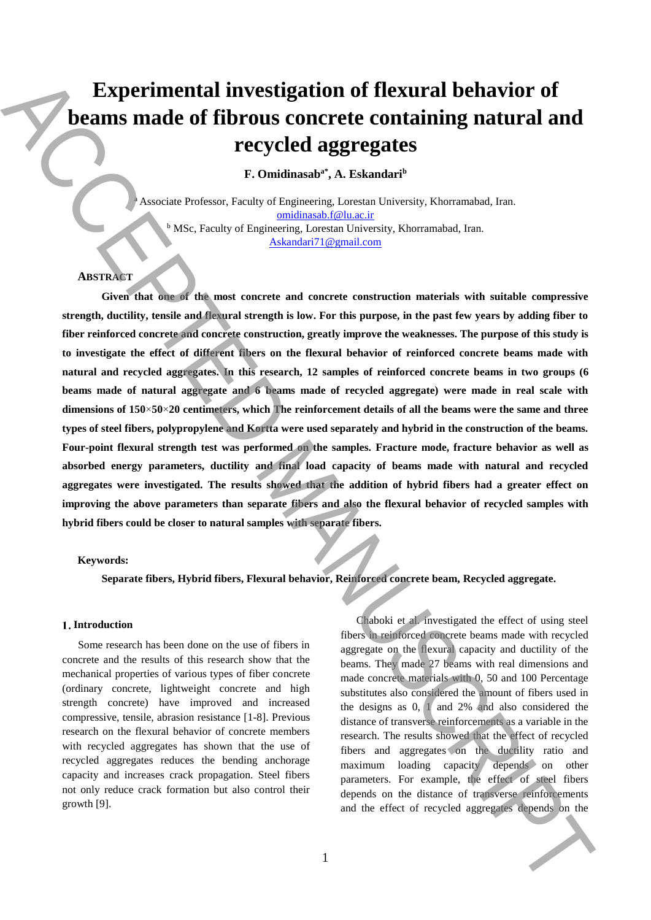# **Experimental investigation of flexural behavior of beams made of fibrous concrete containing natural and recycled aggregates**

**F. Omidinasaba\* , A. Eskandari<sup>b</sup>**

Associate Professor, Faculty of Engineering, Lorestan University, Khorramabad, Iran. omidinasab.f@lu.ac.ir  $b$  MSc, Faculty of Engineering, Lorestan University, Khorramabad, Iran. Askandari71@gmail.com

# **ABSTRACT**

**Given that one of the most concrete and concrete construction materials with suitable compressive strength, ductility, tensile and flexural strength is low. For this purpose, in the past few years by adding fiber to fiber reinforced concrete and concrete construction, greatly improve the weaknesses. The purpose of this study is to investigate the effect of different fibers on the flexural behavior of reinforced concrete beams made with natural and recycled aggregates. In this research, 12 samples of reinforced concrete beams in two groups (6 beams made of natural aggregate and 6 beams made of recycled aggregate) were made in real scale with dimensions of 150**×**50**×**20 centimeters, which The reinforcement details of all the beams were the same and three types of steel fibers, polypropylene and Kortta were used separately and hybrid in the construction of the beams. Four-point flexural strength test was performed on the samples. Fracture mode, fracture behavior as well as absorbed energy parameters, ductility and final load capacity of beams made with natural and recycled aggregates were investigated. The results showed that the addition of hybrid fibers had a greater effect on improving the above parameters than separate fibers and also the flexural behavior of recycled samples with hybrid fibers could be closer to natural samples with separate fibers.** Experimental investigation of flexural behavior of<br>
beams made of fibrous concrete containing matural and<br>
recycled aggregates<br>
r. Condination' A. Relandari<sup>o</sup><br>
r. Condination' A. Relandari<sup>o</sup><br>
r. Someone index recognitio

#### **Keywords:**

**Separate fibers, Hybrid fibers, Flexural behavior, Reinforced concrete beam, Recycled aggregate.**

## 1. Introduction

Some research has been done on the use of fibers in concrete and the results of this research show that the mechanical properties of various types of fiber concrete (ordinary concrete, lightweight concrete and high strength concrete) have improved and increased compressive, tensile, abrasion resistance [1-8]. Previous research on the flexural behavior of concrete members with recycled aggregates has shown that the use of recycled aggregates reduces the bending anchorage capacity and increases crack propagation. Steel fibers not only reduce crack formation but also control their growth [9].

Chaboki et al. investigated the effect of using steel fibers in reinforced concrete beams made with recycled aggregate on the flexural capacity and ductility of the beams. They made 27 beams with real dimensions and made concrete materials with 0, 50 and 100 Percentage substitutes also considered the amount of fibers used in the designs as  $0$ ,  $1$  and  $2\%$  and also considered the distance of transverse reinforcements as a variable in the research. The results showed that the effect of recycled fibers and aggregates on the ductility ratio and maximum loading capacity depends on other parameters. For example, the effect of steel fibers depends on the distance of transverse reinforcements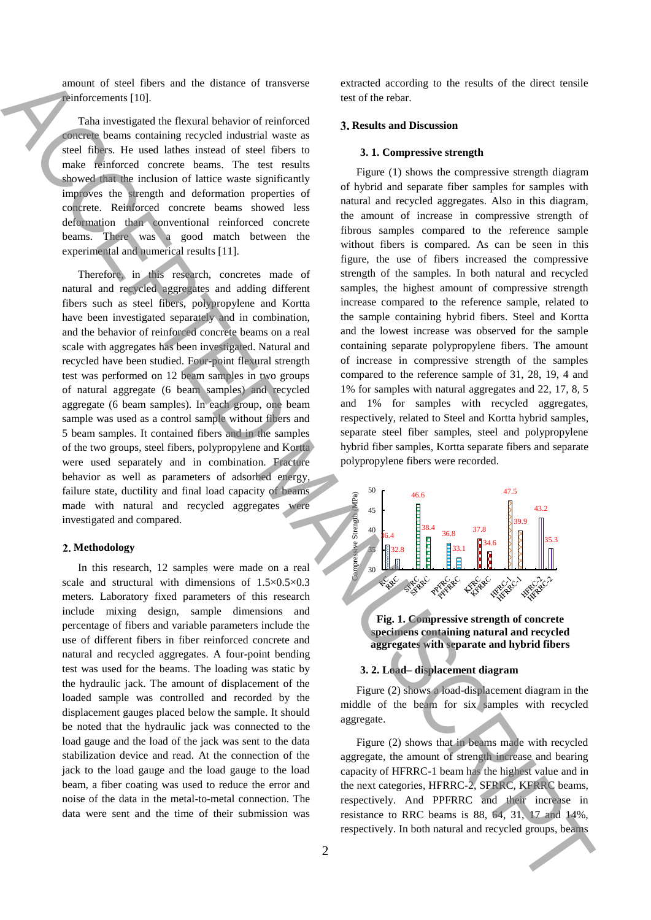amount of steel fibers and the distance of transverse reinforcements [10].

Taha investigated the flexural behavior of reinforced concrete beams containing recycled industrial waste as steel fibers. He used lathes instead of steel fibers to make reinforced concrete beams. The test results showed that the inclusion of lattice waste significantly improves the strength and deformation properties of concrete. Reinforced concrete beams showed less deformation than conventional reinforced concrete beams. There was a good match between the experimental and numerical results [11].

Therefore, in this research, concretes made of natural and recycled aggregates and adding different fibers such as steel fibers, polypropylene and Kortta have been investigated separately and in combination, and the behavior of reinforced concrete beams on a real scale with aggregates has been investigated. Natural and recycled have been studied. Four-point flexural strength test was performed on 12 beam samples in two groups of natural aggregate (6 beam samples) and recycled aggregate (6 beam samples). In each group, one beam sample was used as a control sample without fibers and 5 beam samples. It contained fibers and in the samples of the two groups, steel fibers, polypropylene and Kortta were used separately and in combination. Fracture behavior as well as parameters of adsorbed energy, failure state, ductility and final load capacity of beams made with natural and recycled aggregates were investigated and compared.

## **Methodology**

In this research, 12 samples were made on a real scale and structural with dimensions of 1.5×0.5×0.3 meters. Laboratory fixed parameters of this research include mixing design, sample dimensions and percentage of fibers and variable parameters include the use of different fibers in fiber reinforced concrete and natural and recycled aggregates. A four-point bending test was used for the beams. The loading was static by the hydraulic jack. The amount of displacement of the loaded sample was controlled and recorded by the displacement gauges placed below the sample. It should be noted that the hydraulic jack was connected to the load gauge and the load of the jack was sent to the data stabilization device and read. At the connection of the jack to the load gauge and the load gauge to the load beam, a fiber coating was used to reduce the error and noise of the data in the metal-to-metal connection. The data were sent and the time of their submission was

extracted according to the results of the direct tensile test of the rebar.

# **Results and Discussion**

#### **3. 1. Compressive strength**

Figure (1) shows the compressive strength diagram of hybrid and separate fiber samples for samples with natural and recycled aggregates. Also in this diagram, the amount of increase in compressive strength of fibrous samples compared to the reference sample without fibers is compared. As can be seen in this figure, the use of fibers increased the compressive strength of the samples. In both natural and recycled samples, the highest amount of compressive strength increase compared to the reference sample, related to the sample containing hybrid fibers. Steel and Kortta and the lowest increase was observed for the sample containing separate polypropylene fibers. The amount of increase in compressive strength of the samples compared to the reference sample of 31, 28, 19, 4 and 1% for samples with natural aggregates and 22, 17, 8, 5 and 1% for samples with recycled aggregates, respectively, related to Steel and Kortta hybrid samples, separate steel fiber samples, steel and polypropylene hybrid fiber samples, Kortta separate fibers and separate polypropylene fibers were recorded. smaller can be denoted by the state of transvirse. Secondary to ex such of the first textile<br>
The state of the state of the state of the state of the state of the state of the state of the state of the state of the state



**Fig. 1. Compressive strength of concrete specimens containing natural and recycled aggregates with separate and hybrid fibers**

# **3. 2. Load– displacement diagram**

Figure (2) shows a load-displacement diagram in the middle of the beam for six samples with recycled aggregate.

Figure (2) shows that in beams made with recycled aggregate, the amount of strength increase and bearing capacity of HFRRC-1 beam has the highest value and in the next categories, HFRRC-2, SFRRC, KFRRC beams, respectively. And PPFRRC and their increase in resistance to RRC beams is 88, 64, 31, 17 and 14%, respectively. In both natural and recycled groups, beams